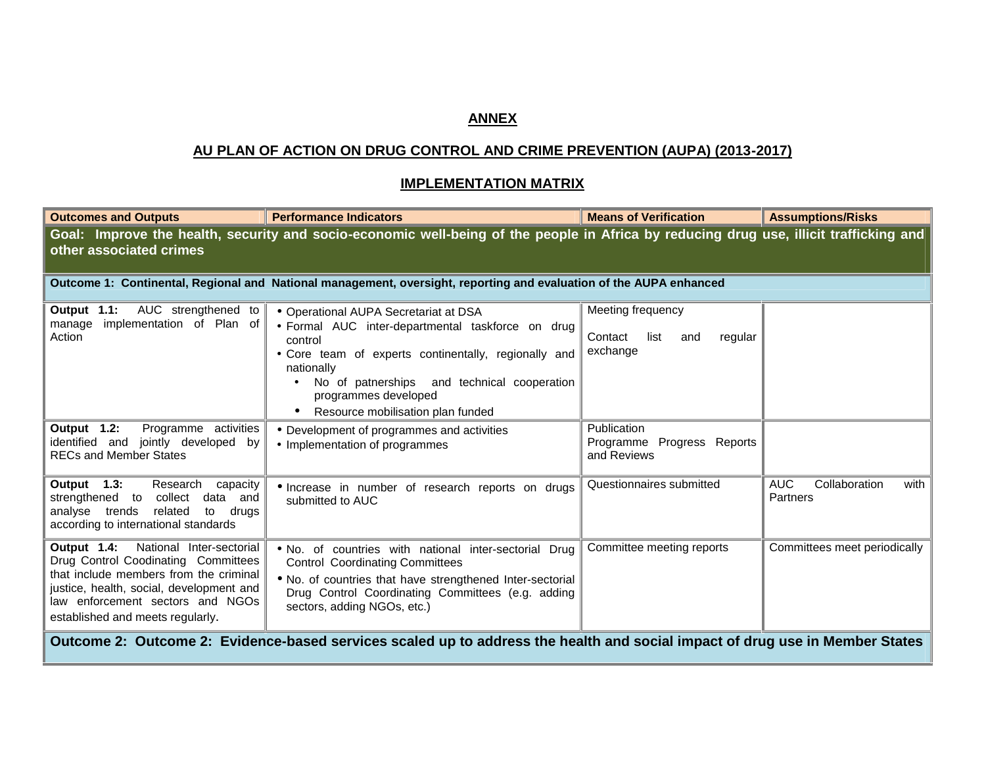## **ANNEX**

## **AU PLAN OF ACTION ON DRUG CONTROL AND CRIME PREVENTION (AUPA) (2013-2017)**

## **IMPLEMENTATION MATRIX**

| <b>Outcomes and Outputs</b>                                                                                                                                                                                                               | <b>Performance Indicators</b>                                                                                                                                                                                                                                                                                     | <b>Means of Verification</b>                                       | <b>Assumptions/Risks</b>                        |
|-------------------------------------------------------------------------------------------------------------------------------------------------------------------------------------------------------------------------------------------|-------------------------------------------------------------------------------------------------------------------------------------------------------------------------------------------------------------------------------------------------------------------------------------------------------------------|--------------------------------------------------------------------|-------------------------------------------------|
| other associated crimes                                                                                                                                                                                                                   | Goal: Improve the health, security and socio-economic well-being of the people in Africa by reducing drug use, illicit trafficking and                                                                                                                                                                            |                                                                    |                                                 |
| Outcome 1: Continental, Regional and National management, oversight, reporting and evaluation of the AUPA enhanced                                                                                                                        |                                                                                                                                                                                                                                                                                                                   |                                                                    |                                                 |
| AUC strengthened to<br>Output 1.1:<br>implementation of Plan of<br>manage<br>Action                                                                                                                                                       | • Operational AUPA Secretariat at DSA<br>· Formal AUC inter-departmental taskforce on drug<br>control<br>. Core team of experts continentally, regionally and<br>nationally<br>No of patnerships and technical cooperation<br>$\bullet$<br>programmes developed<br>Resource mobilisation plan funded<br>$\bullet$ | Meeting frequency<br>Contact<br>list<br>regular<br>and<br>exchange |                                                 |
| Output 1.2:<br>Programme activities<br>identified and jointly developed by<br><b>RECs and Member States</b>                                                                                                                               | • Development of programmes and activities<br>• Implementation of programmes                                                                                                                                                                                                                                      | Publication<br>Programme Progress Reports<br>and Reviews           |                                                 |
| Output 1.3:<br>Research<br>capacity<br>strengthened to<br>collect<br>data<br>and<br>related<br>to<br>analyse trends<br>drugs<br>according to international standards                                                                      | · Increase in number of research reports on drugs<br>submitted to AUC                                                                                                                                                                                                                                             | Questionnaires submitted                                           | <b>AUC</b><br>Collaboration<br>with<br>Partners |
| Output 1.4: National Inter-sectorial<br>Drug Control Coodinating Committees<br>that include members from the criminal<br>justice, health, social, development and<br>law enforcement sectors and NGOs<br>established and meets regularly. | . No. of countries with national inter-sectorial Drug<br><b>Control Coordinating Committees</b><br>. No. of countries that have strengthened Inter-sectorial<br>Drug Control Coordinating Committees (e.g. adding<br>sectors, adding NGOs, etc.)                                                                  | Committee meeting reports                                          | Committees meet periodically                    |
| Outcome 2: Outcome 2: Evidence-based services scaled up to address the health and social impact of drug use in Member States                                                                                                              |                                                                                                                                                                                                                                                                                                                   |                                                                    |                                                 |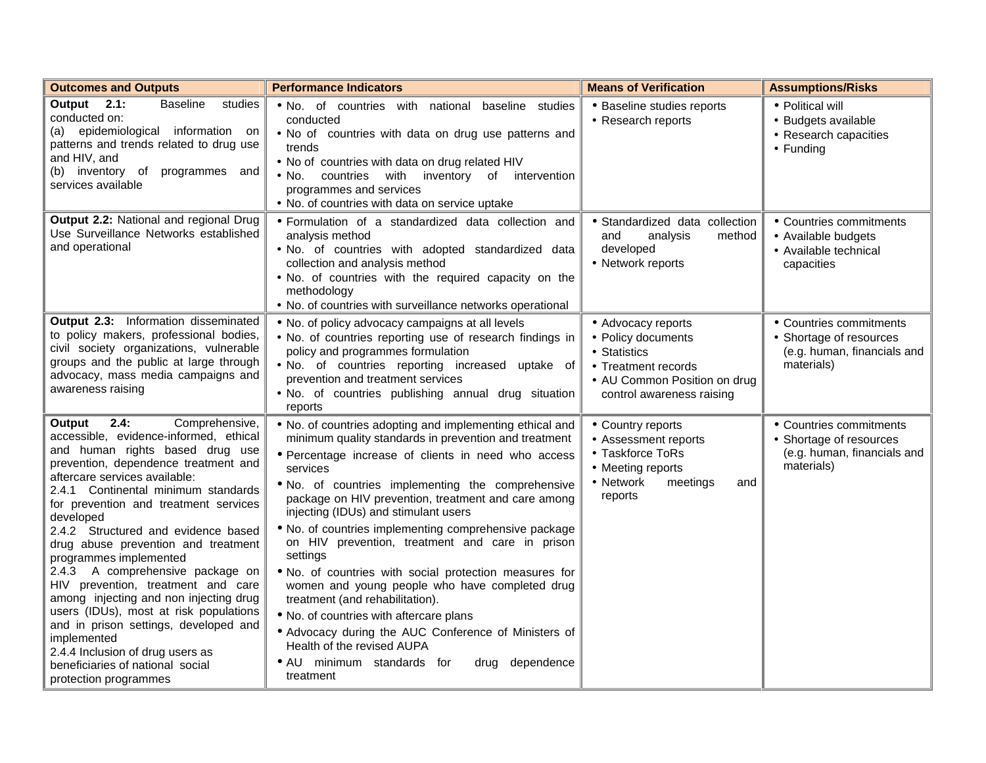| <b>Outcomes and Outputs</b>                                                                                                                                                                                                                                                                                                                                                                                                                                                                                                                                                                                                                                                                                        | <b>Performance Indicators</b>                                                                                                                                                                                                                                                                                                                                                                                                                                                                                                                                                                                                                                                                                                                                                                                  | <b>Means of Verification</b>                                                                                                                 | <b>Assumptions/Risks</b>                                                                        |
|--------------------------------------------------------------------------------------------------------------------------------------------------------------------------------------------------------------------------------------------------------------------------------------------------------------------------------------------------------------------------------------------------------------------------------------------------------------------------------------------------------------------------------------------------------------------------------------------------------------------------------------------------------------------------------------------------------------------|----------------------------------------------------------------------------------------------------------------------------------------------------------------------------------------------------------------------------------------------------------------------------------------------------------------------------------------------------------------------------------------------------------------------------------------------------------------------------------------------------------------------------------------------------------------------------------------------------------------------------------------------------------------------------------------------------------------------------------------------------------------------------------------------------------------|----------------------------------------------------------------------------------------------------------------------------------------------|-------------------------------------------------------------------------------------------------|
| Output 2.1:<br><b>Baseline</b><br>studies<br>conducted on:<br>(a) epidemiological information on<br>patterns and trends related to drug use<br>and HIV, and<br>(b) inventory of programmes and<br>services available                                                                                                                                                                                                                                                                                                                                                                                                                                                                                               | . No. of countries with national baseline studies<br>conducted<br>. No of countries with data on drug use patterns and<br>trends<br>. No of countries with data on drug related HIV<br>. No. countries with inventory of intervention<br>programmes and services<br>. No. of countries with data on service uptake                                                                                                                                                                                                                                                                                                                                                                                                                                                                                             | • Baseline studies reports<br>• Research reports                                                                                             | • Political will<br>• Budgets available<br>• Research capacities<br>• Funding                   |
| Output 2.2: National and regional Drug<br>Use Surveillance Networks established<br>and operational                                                                                                                                                                                                                                                                                                                                                                                                                                                                                                                                                                                                                 | · Formulation of a standardized data collection and<br>analysis method<br>. No. of countries with adopted standardized data<br>collection and analysis method<br>. No. of countries with the required capacity on the<br>methodology<br>• No. of countries with surveillance networks operational                                                                                                                                                                                                                                                                                                                                                                                                                                                                                                              | · Standardized data collection<br>analysis<br>method<br>and<br>developed<br>• Network reports                                                | • Countries commitments<br>• Available budgets<br>• Available technical<br>capacities           |
| Output 2.3: Information disseminated<br>to policy makers, professional bodies,<br>civil society organizations, vulnerable<br>groups and the public at large through<br>advocacy, mass media campaigns and<br>awareness raising                                                                                                                                                                                                                                                                                                                                                                                                                                                                                     | . No. of policy advocacy campaigns at all levels<br>. No. of countries reporting use of research findings in<br>policy and programmes formulation<br>. No. of countries reporting increased uptake of<br>prevention and treatment services<br>. No. of countries publishing annual drug situation<br>reports                                                                                                                                                                                                                                                                                                                                                                                                                                                                                                   | • Advocacy reports<br>• Policy documents<br>• Statistics<br>• Treatment records<br>• AU Common Position on drug<br>control awareness raising | • Countries commitments<br>• Shortage of resources<br>(e.g. human, financials and<br>materials) |
| 2.4:<br>Comprehensive,<br>Output<br>accessible, evidence-informed, ethical<br>and human rights based drug use<br>prevention, dependence treatment and<br>aftercare services available:<br>2.4.1 Continental minimum standards<br>for prevention and treatment services<br>developed<br>2.4.2 Structured and evidence based<br>drug abuse prevention and treatment<br>programmes implemented<br>2.4.3 A comprehensive package on<br>HIV prevention, treatment and care<br>among injecting and non injecting drug<br>users (IDUs), most at risk populations<br>and in prison settings, developed and<br>implemented<br>2.4.4 Inclusion of drug users as<br>beneficiaries of national social<br>protection programmes | • No. of countries adopting and implementing ethical and<br>minimum quality standards in prevention and treatment<br>· Percentage increase of clients in need who access<br>services<br>. No. of countries implementing the comprehensive<br>package on HIV prevention, treatment and care among<br>injecting (IDUs) and stimulant users<br>• No. of countries implementing comprehensive package<br>on HIV prevention, treatment and care in prison<br>settings<br>. No. of countries with social protection measures for<br>women and young people who have completed drug<br>treatment (and rehabilitation).<br>. No. of countries with aftercare plans<br>• Advocacy during the AUC Conference of Ministers of<br>Health of the revised AUPA<br>• AU minimum standards for<br>drug dependence<br>treatment | • Country reports<br>• Assessment reports<br>• Taskforce ToRs<br>• Meeting reports<br>• Network<br>meetings<br>and<br>reports                | • Countries commitments<br>• Shortage of resources<br>(e.g. human, financials and<br>materials) |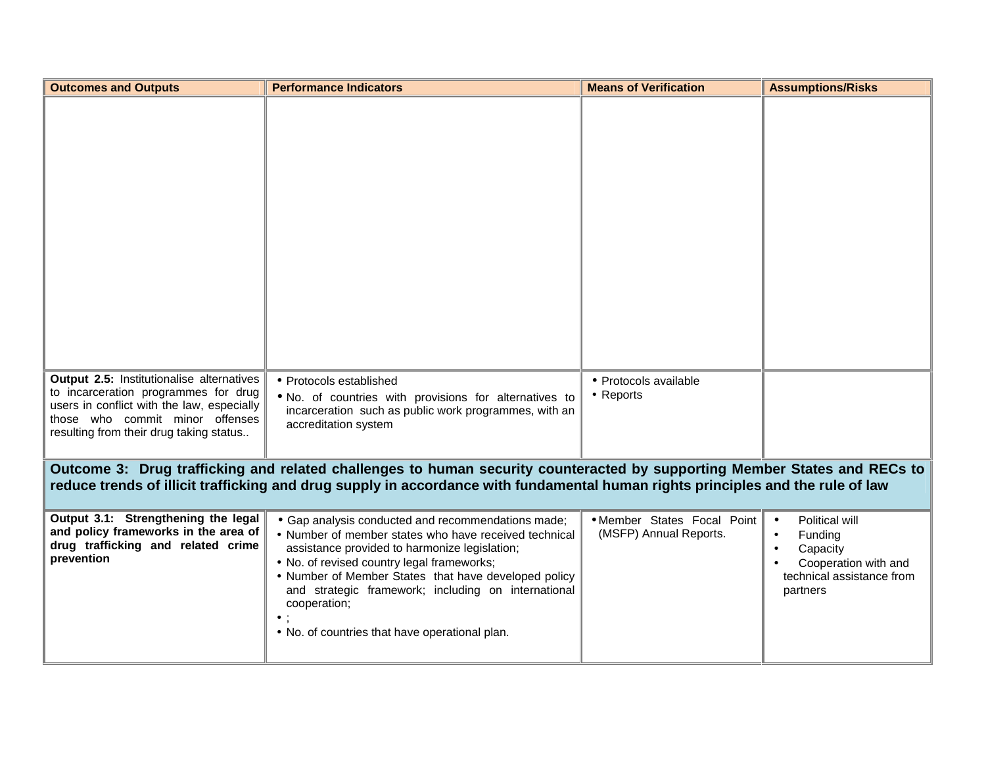| <b>Outcomes and Outputs</b>                                                                                                                                                                                                                                  | <b>Performance Indicators</b>                                                                                                                                                                                                                                                                                                                                                               | <b>Means of Verification</b>                          | <b>Assumptions/Risks</b>                                                                                            |
|--------------------------------------------------------------------------------------------------------------------------------------------------------------------------------------------------------------------------------------------------------------|---------------------------------------------------------------------------------------------------------------------------------------------------------------------------------------------------------------------------------------------------------------------------------------------------------------------------------------------------------------------------------------------|-------------------------------------------------------|---------------------------------------------------------------------------------------------------------------------|
|                                                                                                                                                                                                                                                              |                                                                                                                                                                                                                                                                                                                                                                                             |                                                       |                                                                                                                     |
| Output 2.5: Institutionalise alternatives<br>to incarceration programmes for drug<br>users in conflict with the law, especially<br>those who commit minor offenses<br>resulting from their drug taking status                                                | • Protocols established<br>. No. of countries with provisions for alternatives to<br>incarceration such as public work programmes, with an<br>accreditation system                                                                                                                                                                                                                          | • Protocols available<br>• Reports                    |                                                                                                                     |
| Outcome 3: Drug trafficking and related challenges to human security counteracted by supporting Member States and RECs to<br>reduce trends of illicit trafficking and drug supply in accordance with fundamental human rights principles and the rule of law |                                                                                                                                                                                                                                                                                                                                                                                             |                                                       |                                                                                                                     |
| Output 3.1: Strengthening the legal<br>and policy frameworks in the area of<br>drug trafficking and related crime<br>prevention                                                                                                                              | • Gap analysis conducted and recommendations made;<br>• Number of member states who have received technical<br>assistance provided to harmonize legislation;<br>• No. of revised country legal frameworks;<br>• Number of Member States that have developed policy<br>and strategic framework; including on international<br>cooperation;<br>. No. of countries that have operational plan. | • Member States Focal Point<br>(MSFP) Annual Reports. | Political will<br>$\bullet$<br>Funding<br>Capacity<br>Cooperation with and<br>technical assistance from<br>partners |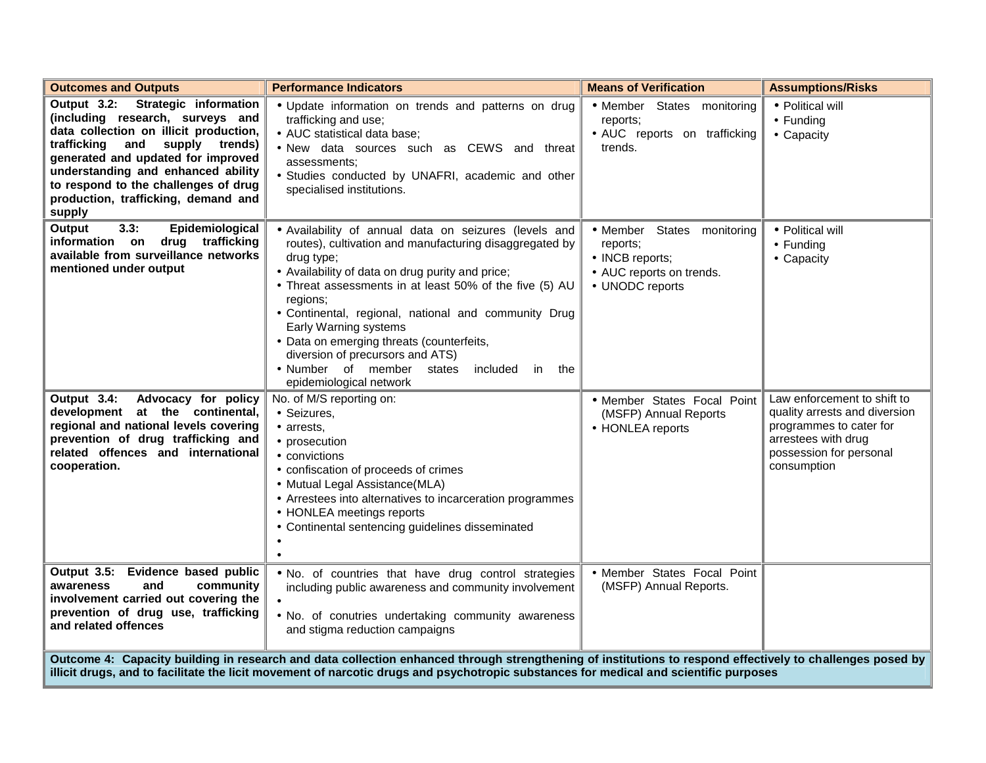| <b>Outcomes and Outputs</b>                                                                                                                                                                                                                                                                                                     | <b>Performance Indicators</b>                                                                                                                                                                                                                                                                                                                                                                                                                                                                             | <b>Means of Verification</b>                                                                             | <b>Assumptions/Risks</b>                                                                                                                                 |
|---------------------------------------------------------------------------------------------------------------------------------------------------------------------------------------------------------------------------------------------------------------------------------------------------------------------------------|-----------------------------------------------------------------------------------------------------------------------------------------------------------------------------------------------------------------------------------------------------------------------------------------------------------------------------------------------------------------------------------------------------------------------------------------------------------------------------------------------------------|----------------------------------------------------------------------------------------------------------|----------------------------------------------------------------------------------------------------------------------------------------------------------|
| Output 3.2: Strategic information<br>(including research, surveys and<br>data collection on illicit production,<br>supply<br>trafficking<br>and<br>trends)<br>generated and updated for improved<br>understanding and enhanced ability<br>to respond to the challenges of drug<br>production, trafficking, demand and<br>supply | • Update information on trends and patterns on drug<br>trafficking and use;<br>• AUC statistical data base;<br>. New data sources such as CEWS and threat<br>assessments:<br>· Studies conducted by UNAFRI, academic and other<br>specialised institutions.                                                                                                                                                                                                                                               | • Member States monitoring<br>reports;<br>• AUC reports on trafficking<br>trends.                        | • Political will<br>$\bullet$ Funding<br>• Capacity                                                                                                      |
| 3.3:<br>Epidemiological<br>Output<br>information on drug trafficking<br>available from surveillance networks<br>mentioned under output                                                                                                                                                                                          | · Availability of annual data on seizures (levels and<br>routes), cultivation and manufacturing disaggregated by<br>drug type;<br>• Availability of data on drug purity and price;<br>• Threat assessments in at least 50% of the five (5) AU<br>regions;<br>· Continental, regional, national and community Drug<br>Early Warning systems<br>• Data on emerging threats (counterfeits,<br>diversion of precursors and ATS)<br>• Number of member states<br>included in<br>the<br>epidemiological network | · Member States monitoring<br>reports;<br>• INCB reports;<br>• AUC reports on trends.<br>• UNODC reports | · Political will<br>$\bullet$ Funding<br>• Capacity                                                                                                      |
| Output 3.4:<br>Advocacy for policy<br>development at the continental,<br>regional and national levels covering<br>prevention of drug trafficking and<br>related offences and international<br>cooperation.                                                                                                                      | No. of M/S reporting on:<br>• Seizures,<br>• arrests,<br>• prosecution<br>• convictions<br>• confiscation of proceeds of crimes<br>• Mutual Legal Assistance(MLA)<br>• Arrestees into alternatives to incarceration programmes<br>• HONLEA meetings reports<br>• Continental sentencing guidelines disseminated                                                                                                                                                                                           | • Member States Focal Point<br>(MSFP) Annual Reports<br>• HONLEA reports                                 | Law enforcement to shift to<br>quality arrests and diversion<br>programmes to cater for<br>arrestees with drug<br>possession for personal<br>consumption |
| Evidence based public<br>Output 3.5:<br>and<br>community<br>awareness<br>involvement carried out covering the<br>prevention of drug use, trafficking<br>and related offences                                                                                                                                                    | . No. of countries that have drug control strategies<br>including public awareness and community involvement<br>. No. of conutries undertaking community awareness<br>and stigma reduction campaigns                                                                                                                                                                                                                                                                                                      | • Member States Focal Point<br>(MSFP) Annual Reports.                                                    |                                                                                                                                                          |
| Outcome 4: Capacity building in research and data collection enhanced through strengthening of institutions to respond effectively to challenges posed by<br>illicit drugs, and to facilitate the licit movement of narcotic drugs and psychotropic substances for medical and scientific purposes                              |                                                                                                                                                                                                                                                                                                                                                                                                                                                                                                           |                                                                                                          |                                                                                                                                                          |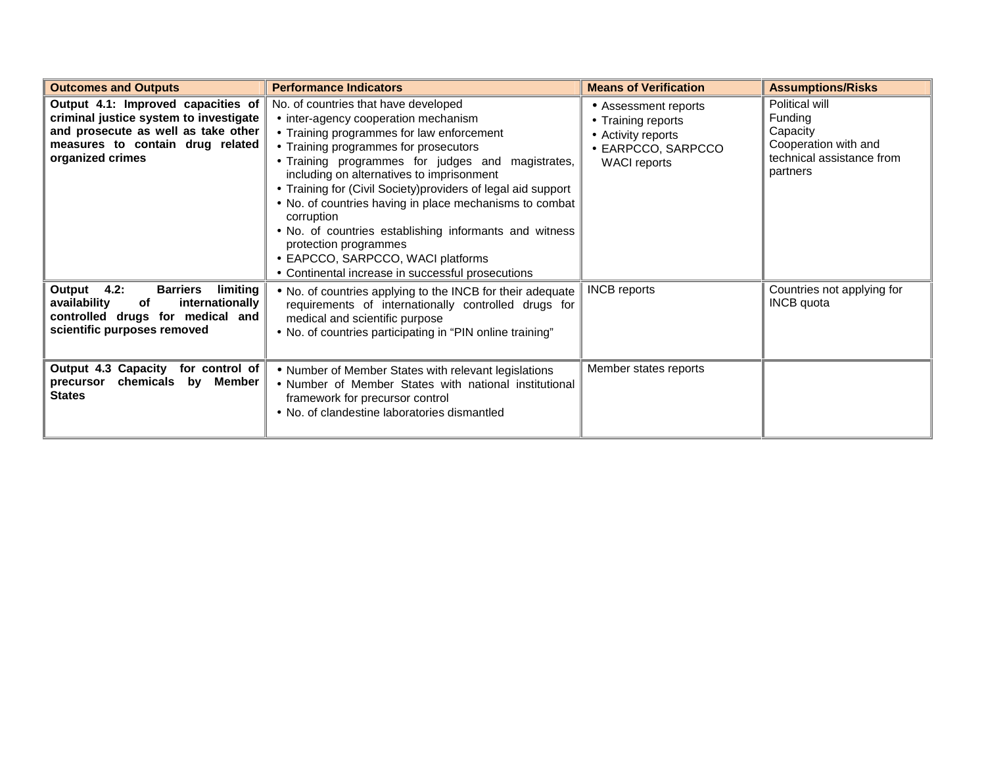| <b>Outcomes and Outputs</b>                                                                                                                                                 | <b>Performance Indicators</b>                                                                                                                                                                                                                                                                                                                                                                                                                                                                                                                                                               | <b>Means of Verification</b>                                                                                  | <b>Assumptions/Risks</b>                                                                               |
|-----------------------------------------------------------------------------------------------------------------------------------------------------------------------------|---------------------------------------------------------------------------------------------------------------------------------------------------------------------------------------------------------------------------------------------------------------------------------------------------------------------------------------------------------------------------------------------------------------------------------------------------------------------------------------------------------------------------------------------------------------------------------------------|---------------------------------------------------------------------------------------------------------------|--------------------------------------------------------------------------------------------------------|
| Output 4.1: Improved capacities of<br>criminal justice system to investigate<br>and prosecute as well as take other<br>measures to contain drug related<br>organized crimes | No. of countries that have developed<br>• inter-agency cooperation mechanism<br>• Training programmes for law enforcement<br>• Training programmes for prosecutors<br>• Training programmes for judges and magistrates,<br>including on alternatives to imprisonment<br>• Training for (Civil Society) providers of legal aid support<br>• No. of countries having in place mechanisms to combat<br>corruption<br>• No. of countries establishing informants and witness<br>protection programmes<br>• EAPCCO, SARPCCO, WACI platforms<br>• Continental increase in successful prosecutions | • Assessment reports<br>• Training reports<br>• Activity reports<br>• EARPCCO, SARPCCO<br><b>WACI</b> reports | Political will<br>Funding<br>Capacity<br>Cooperation with and<br>technical assistance from<br>partners |
| Output 4.2:<br><b>Barriers</b><br>limiting<br>availability<br>internationally<br>of<br>controlled drugs for medical and<br>scientific purposes removed                      | . No. of countries applying to the INCB for their adequate<br>requirements of internationally controlled drugs for<br>medical and scientific purpose<br>• No. of countries participating in "PIN online training"                                                                                                                                                                                                                                                                                                                                                                           | <b>INCB</b> reports                                                                                           | Countries not applying for<br><b>INCB</b> quota                                                        |
| Output 4.3 Capacity for control of<br>chemicals by Member<br>precursor<br><b>States</b>                                                                                     | • Number of Member States with relevant legislations<br>• Number of Member States with national institutional<br>framework for precursor control<br>• No. of clandestine laboratories dismantled                                                                                                                                                                                                                                                                                                                                                                                            | Member states reports                                                                                         |                                                                                                        |